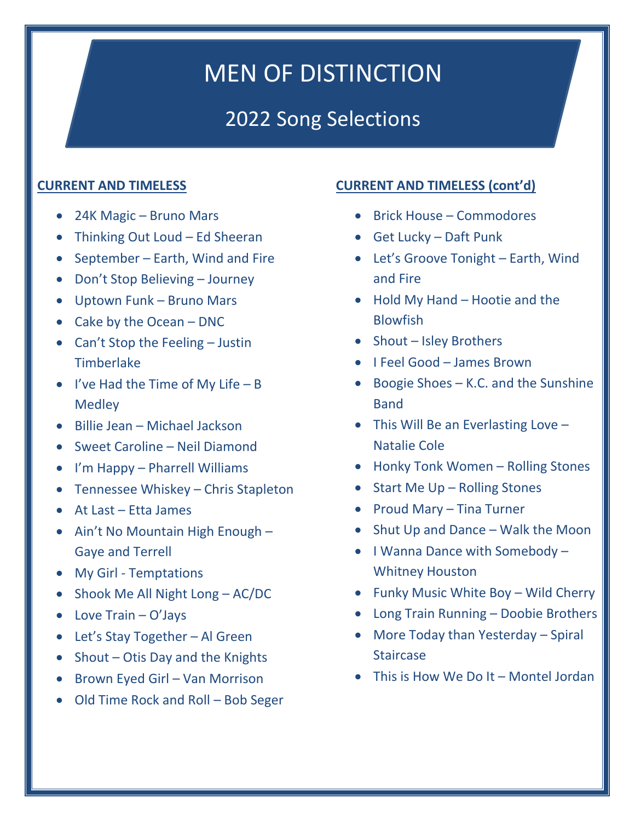# MEN OF DISTINCTION

## 2022 Song Selections

## **CURRENT AND TIMELESS**

- 24K Magic Bruno Mars
- Thinking Out Loud Ed Sheeran
- September Earth, Wind and Fire
- Don't Stop Believing Journey
- Uptown Funk Bruno Mars
- Cake by the Ocean DNC
- Can't Stop the Feeling Justin Timberlake
- I've Had the Time of My Life  $-$  B Medley
- Billie Jean Michael Jackson
- Sweet Caroline Neil Diamond
- I'm Happy Pharrell Williams
- Tennessee Whiskey Chris Stapleton
- At Last Etta James
- Ain't No Mountain High Enough Gaye and Terrell
- My Girl Temptations
- Shook Me All Night Long AC/DC
- Love Train O'Jays
- Let's Stay Together Al Green
- Shout Otis Day and the Knights
- Brown Eyed Girl Van Morrison
- Old Time Rock and Roll Bob Seger

## **CURRENT AND TIMELESS (cont'd)**

- Brick House Commodores
- Get Lucky Daft Punk
- Let's Groove Tonight Earth, Wind and Fire
- Hold My Hand Hootie and the Blowfish
- Shout Isley Brothers
- I Feel Good James Brown
- Boogie Shoes K.C. and the Sunshine Band
- This Will Be an Everlasting Love Natalie Cole
- Honky Tonk Women Rolling Stones
- Start Me Up Rolling Stones
- Proud Mary Tina Turner
- Shut Up and Dance Walk the Moon
- I Wanna Dance with Somebody Whitney Houston
- Funky Music White Boy Wild Cherry
- Long Train Running Doobie Brothers
- More Today than Yesterday Spiral **Staircase**
- This is How We Do It Montel Jordan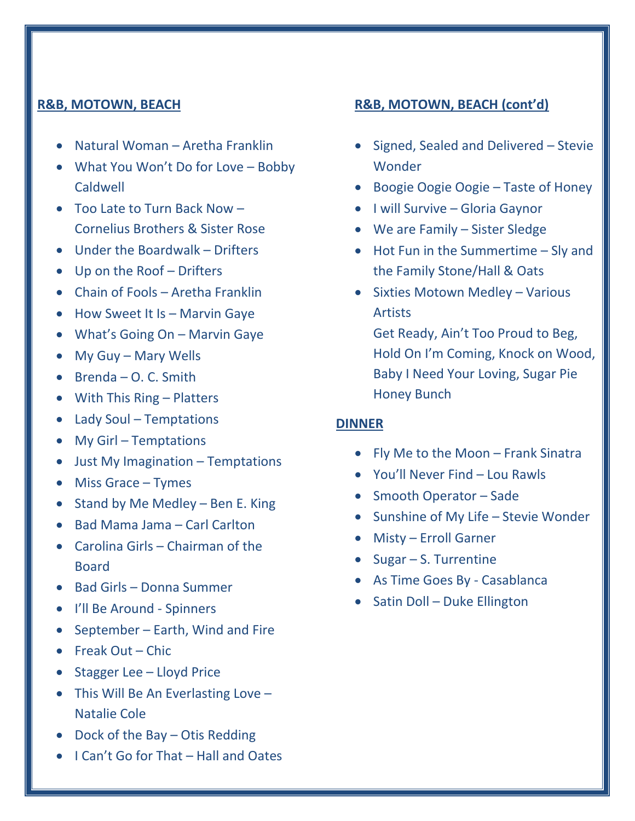#### **R&B, MOTOWN, BEACH**

- Natural Woman Aretha Franklin
- What You Won't Do for Love Bobby Caldwell
- Too Late to Turn Back Now Cornelius Brothers & Sister Rose
- Under the Boardwalk Drifters
- Up on the Roof Drifters
- Chain of Fools Aretha Franklin
- How Sweet It Is Marvin Gaye
- What's Going On Marvin Gaye
- My Guy Mary Wells
- Brenda O. C. Smith
- With This Ring Platters
- Lady Soul Temptations
- My Girl Temptations
- Just My Imagination Temptations
- Miss Grace Tymes
- Stand by Me Medley Ben E. King
- Bad Mama Jama Carl Carlton
- Carolina Girls Chairman of the Board
- Bad Girls Donna Summer
- I'll Be Around Spinners
- September Earth, Wind and Fire
- Freak Out Chic
- Stagger Lee Lloyd Price
- This Will Be An Everlasting Love -Natalie Cole
- Dock of the Bay Otis Redding
- I Can't Go for That Hall and Oates

## **R&B, MOTOWN, BEACH (cont'd)**

- Signed, Sealed and Delivered Stevie Wonder
- Boogie Oogie Oogie Taste of Honey
- I will Survive Gloria Gaynor
- We are Family Sister Sledge
- Hot Fun in the Summertime Sly and the Family Stone/Hall & Oats
- Sixties Motown Medley Various Artists

Get Ready, Ain't Too Proud to Beg, Hold On I'm Coming, Knock on Wood, Baby I Need Your Loving, Sugar Pie Honey Bunch

#### **DINNER**

- Fly Me to the Moon Frank Sinatra
- You'll Never Find Lou Rawls
- Smooth Operator Sade
- Sunshine of My Life Stevie Wonder
- Misty Erroll Garner
- Sugar S. Turrentine
- As Time Goes By Casablanca
- Satin Doll Duke Ellington